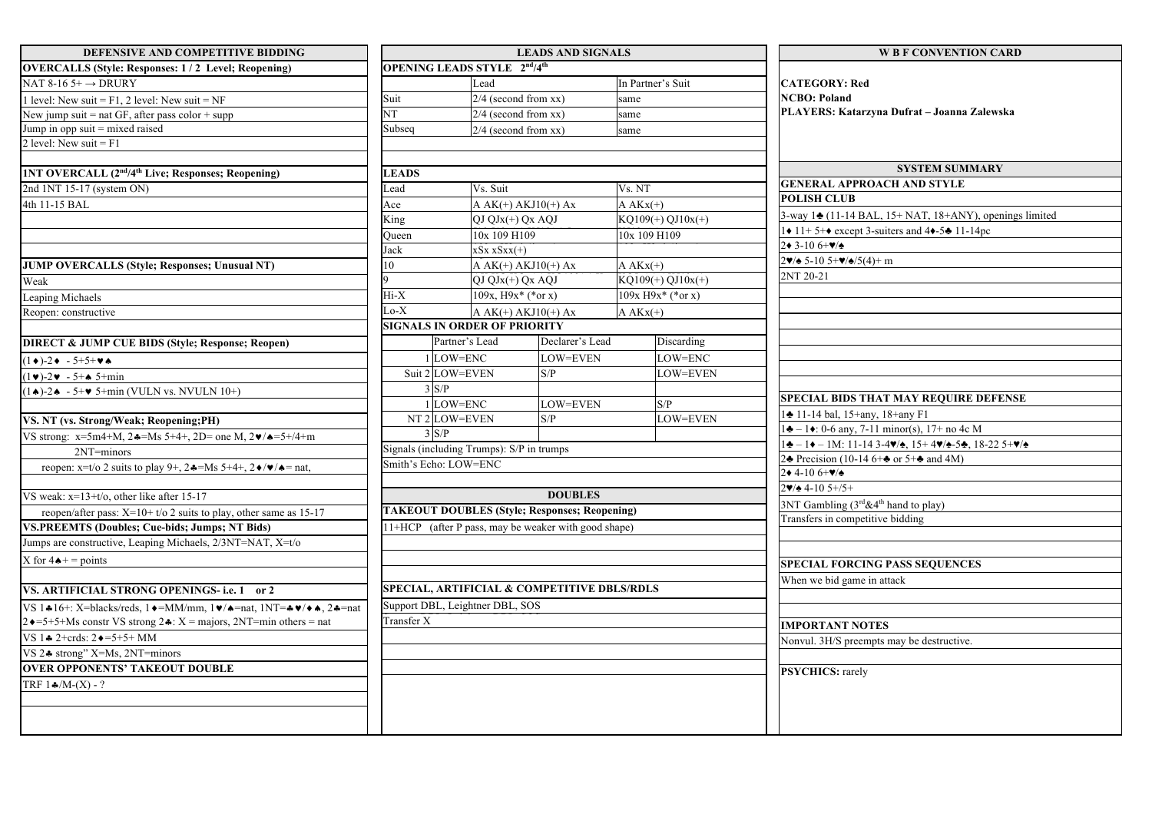| DEFENSIVE AND COMPETITIVE BIDDING                                                                                     |                                                      |                                                          | <b>LEADS AND SIGNALS</b> |                                   | <b>W B F CONVENTION CARD</b>                                                                                                                                                          |  |  |  |
|-----------------------------------------------------------------------------------------------------------------------|------------------------------------------------------|----------------------------------------------------------|--------------------------|-----------------------------------|---------------------------------------------------------------------------------------------------------------------------------------------------------------------------------------|--|--|--|
| <b>OVERCALLS (Style: Responses: 1/2 Level; Reopening)</b>                                                             |                                                      | <b>OPENING LEADS STYLE 2<sup>nd</sup>/4<sup>th</sup></b> |                          |                                   |                                                                                                                                                                                       |  |  |  |
| NAT 8-16 5+ $\rightarrow$ DRURY                                                                                       |                                                      | Lead                                                     |                          | In Partner's Suit                 | <b>CATEGORY: Red</b>                                                                                                                                                                  |  |  |  |
| level: New suit = $F1$ , 2 level: New suit = NF                                                                       | Suit                                                 | $2/4$ (second from xx)                                   |                          | same                              | <b>NCBO</b> : Poland                                                                                                                                                                  |  |  |  |
| New jump suit = nat GF, after pass color + supp                                                                       | $\overline{\text{NT}}$<br>$2/4$ (second from xx)     |                                                          |                          | same                              | PLAYERS: Katarzyna Dufrat - Joanna Zalewska                                                                                                                                           |  |  |  |
| Jump in opp suit = mixed raised                                                                                       | Subseq                                               | $2/4$ (second from xx)                                   |                          | same                              |                                                                                                                                                                                       |  |  |  |
| 2 level: New suit = $F1$                                                                                              |                                                      |                                                          |                          |                                   |                                                                                                                                                                                       |  |  |  |
|                                                                                                                       |                                                      |                                                          |                          |                                   |                                                                                                                                                                                       |  |  |  |
| <b>1NT OVERCALL (2<sup>nd</sup>/4<sup>th</sup> Live; Responses; Reopening)</b>                                        | <b>LEADS</b>                                         |                                                          |                          |                                   | <b>SYSTEM SUMMARY</b>                                                                                                                                                                 |  |  |  |
| 2nd 1NT 15-17 (system ON)                                                                                             | Vs. Suit<br>Lead                                     |                                                          | Vs. NT                   | <b>GENERAL APPROACH AND STYLE</b> |                                                                                                                                                                                       |  |  |  |
| 4th 11-15 BAL                                                                                                         | Ace                                                  | A $AK(+)$ $AKJ10(+)$ $Ax$                                |                          | $A AKx(+)$                        | <b>POLISH CLUB</b>                                                                                                                                                                    |  |  |  |
|                                                                                                                       | King                                                 | $QJQJx(+)QxAQJ$                                          |                          | $KQ109(+) QJ10x(+)$               | 3-way 14 (11-14 BAL, 15+ NAT, 18+ANY), openings limited                                                                                                                               |  |  |  |
|                                                                                                                       | Oueen                                                | 10x 109 H109                                             |                          | 10x 109 H109                      | $\leftrightarrow$ 11+5+ $\leftrightarrow$ except 3-suiters and 4 $\leftrightarrow$ -5 $\leftrightarrow$ 11-14pc                                                                       |  |  |  |
|                                                                                                                       | Jack                                                 | $xSx xSxx(+)$                                            |                          |                                   | $2 \cdot 3 - 106 + \frac{1}{2}$                                                                                                                                                       |  |  |  |
| <b>JUMP OVERCALLS (Style; Responses; Unusual NT)</b>                                                                  | 10                                                   | $A AK(+) AKJ10(+) Ax$                                    |                          | $A AKx(+)$                        | $\sqrt{2\mathbf{v}}$ 5-10 5+ $\mathbf{v}/\mathbf{A}$ /5(4)+ m                                                                                                                         |  |  |  |
| Weak                                                                                                                  |                                                      | $OJ OJx(+) Ox AOJ$                                       |                          | $KQ109(+) QJ10x(+)$               | 2NT 20-21                                                                                                                                                                             |  |  |  |
| Leaping Michaels                                                                                                      | Hi-X                                                 | $109x, H9x^*$ (*or x)                                    |                          | $109x H9x^*$ (*or x)              |                                                                                                                                                                                       |  |  |  |
| Reopen: constructive                                                                                                  | $_{\rm oo-X}$                                        | A $AK(+)$ $AKJ10(+)$ $Ax$                                |                          | $A AKx(+)$                        |                                                                                                                                                                                       |  |  |  |
|                                                                                                                       |                                                      | <b>SIGNALS IN ORDER OF PRIORITY</b>                      |                          |                                   |                                                                                                                                                                                       |  |  |  |
| <b>DIRECT &amp; JUMP CUE BIDS (Style; Response; Reopen)</b>                                                           | Partner's Lead                                       |                                                          | Declarer's Lead          | Discarding                        |                                                                                                                                                                                       |  |  |  |
| $1 \bullet$ )-2 $\bullet$ - 5+5+ $\bullet \bullet$                                                                    | 1LOW=ENC                                             |                                                          | LOW=EVEN                 | LOW=ENC                           |                                                                                                                                                                                       |  |  |  |
| $\sqrt{4}$ -2 $\sqrt{4}$ - 5+4 5+min                                                                                  | Suit 2 LOW=EVEN                                      |                                                          | S/P                      | LOW=EVEN                          |                                                                                                                                                                                       |  |  |  |
| $1\spadesuit$ )-2 $\spadesuit$ - 5+ $\spadesuit$ 5+min (VULN vs. NVULN 10+)                                           | 3 S/P                                                |                                                          |                          |                                   |                                                                                                                                                                                       |  |  |  |
|                                                                                                                       | 1LOW=ENC                                             |                                                          | LOW=EVEN                 | S/P                               | SPECIAL BIDS THAT MAY REQUIRE DEFENSE                                                                                                                                                 |  |  |  |
| VS. NT (vs. Strong/Weak; Reopening;PH)                                                                                | NT <sub>2</sub> LOW=EVEN                             |                                                          | S/P                      | LOW=EVEN                          | $\frac{1}{2}$ 11-14 bal, 15+any, 18+any F1                                                                                                                                            |  |  |  |
| VS strong: x=5m4+M, 2 $\ast$ =Ms 5+4+, 2D= one M, 2 $\ast$ / $\ast$ =5+/4+m                                           | 3 S/P                                                |                                                          |                          |                                   | $1\clubsuit - 1\spadesuit$ : 0-6 any, 7-11 minor(s), 17+ no 4c M                                                                                                                      |  |  |  |
| 2NT=minors                                                                                                            | Signals (including Trumps): S/P in trumps            |                                                          |                          |                                   | $1\clubsuit - 1\spadesuit - 1$ M: 11-14 3-4 $\blacktriangledown$ <sub>4</sub> , 15+ 4 $\blacktriangledown$ <sub>4</sub> -5 $\clubsuit$ , 18-22 5+ $\blacktriangledown$ / $\spadesuit$ |  |  |  |
| reopen: $x=t$ 2 suits to play 9+, $2 \div 5+4+$ , $2 \div 7 \times 6 =$ nat,                                          | Smith's Echo: LOW=ENC                                |                                                          |                          |                                   | 2. Precision (10-14 6+ $\triangle$ or 5+ $\triangle$ and 4M)                                                                                                                          |  |  |  |
|                                                                                                                       |                                                      |                                                          |                          |                                   | $2*4-106+2*$                                                                                                                                                                          |  |  |  |
| VS weak: $x=13+t/0$ , other like after 15-17                                                                          |                                                      |                                                          | <b>DOUBLES</b>           |                                   | $2\blacktriangledown/4$ 4-10 5+/5+                                                                                                                                                    |  |  |  |
| reopen/after pass: $X=10+ t/\sigma$ 2 suits to play, other same as 15-17                                              | <b>TAKEOUT DOUBLES (Style; Responses; Reopening)</b> |                                                          |                          |                                   | 3NT Gambling $(3^{rd}\&4^{th})$ hand to play)                                                                                                                                         |  |  |  |
| <b>VS.PREEMTS (Doubles; Cue-bids; Jumps; NT Bids)</b>                                                                 | 11+HCP (after P pass, may be weaker with good shape) |                                                          |                          |                                   | Transfers in competitive bidding                                                                                                                                                      |  |  |  |
| Jumps are constructive, Leaping Michaels, 2/3NT=NAT, X=t/o                                                            |                                                      |                                                          |                          |                                   |                                                                                                                                                                                       |  |  |  |
| X for $4 \triangle + =$ points                                                                                        |                                                      |                                                          |                          |                                   |                                                                                                                                                                                       |  |  |  |
|                                                                                                                       |                                                      |                                                          |                          |                                   | <b>SPECIAL FORCING PASS SEQUENCES</b>                                                                                                                                                 |  |  |  |
| VS. ARTIFICIAL STRONG OPENINGS-i.e. 1 or 2                                                                            | SPECIAL, ARTIFICIAL & COMPETITIVE DBLS/RDLS          |                                                          |                          |                                   | When we bid game in attack                                                                                                                                                            |  |  |  |
| VS 1 $\ast$ 16+: X=blacks/reds, 1 $\ast$ =MM/mm, 1 $\ast$ / $\ast$ =nat, 1NT= $\ast \ast / \ast \ast$ , 2 $\ast$ =nat | Support DBL, Leightner DBL, SOS                      |                                                          |                          |                                   |                                                                                                                                                                                       |  |  |  |
| $2 \cdot 5 + 5 + Ms$ constr VS strong $2 \cdot x$ : X = majors, 2NT=min others = nat                                  | Transfer X                                           |                                                          |                          |                                   | <b>IMPORTANT NOTES</b>                                                                                                                                                                |  |  |  |
| VS 1 $\triangle$ 2+crds: 2 $\triangle$ =5+5+ MM                                                                       |                                                      |                                                          |                          |                                   | Nonvul. 3H/S preempts may be destructive.                                                                                                                                             |  |  |  |
| VS 24 strong" X=Ms, 2NT=minors                                                                                        |                                                      |                                                          |                          |                                   |                                                                                                                                                                                       |  |  |  |
| <b>OVER OPPONENTS' TAKEOUT DOUBLE</b>                                                                                 |                                                      |                                                          |                          |                                   | <b>PSYCHICS:</b> rarely                                                                                                                                                               |  |  |  |
| TRF $1 \frac{4}{1} (X) - ?$                                                                                           |                                                      |                                                          |                          |                                   |                                                                                                                                                                                       |  |  |  |
|                                                                                                                       |                                                      |                                                          |                          |                                   |                                                                                                                                                                                       |  |  |  |
|                                                                                                                       |                                                      |                                                          |                          |                                   |                                                                                                                                                                                       |  |  |  |
|                                                                                                                       |                                                      |                                                          |                          |                                   |                                                                                                                                                                                       |  |  |  |